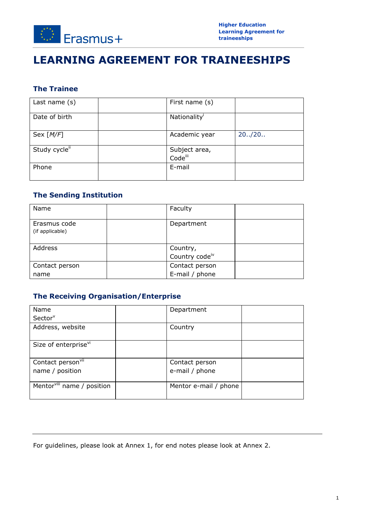

# **LEARNING AGREEMENT FOR TRAINEESHIPS**

### **The Trainee**

| Last name $(s)$ | First name (s)           |         |
|-----------------|--------------------------|---------|
| Date of birth   | Nationality <sup>1</sup> |         |
| Sex $[M/F]$     | Academic year            | 20.720. |
| Study cycleii   | Subject area,<br>Codeiii |         |
| Phone           | E-mail                   |         |

### **The Sending Institution**

| Name                            | Faculty                                |  |
|---------------------------------|----------------------------------------|--|
| Erasmus code<br>(if applicable) | Department                             |  |
| Address                         | Country,<br>Country code <sup>iv</sup> |  |
| Contact person                  | Contact person                         |  |
| name                            | E-mail / phone                         |  |

### **The Receiving Organisation/Enterprise**

| <b>Name</b>                            | Department            |
|----------------------------------------|-----------------------|
| Sector <sup>v</sup>                    |                       |
| Address, website                       | Country               |
| Size of enterprise <sup>vi</sup>       |                       |
| Contact person <sup>vii</sup>          | Contact person        |
| name / position                        | e-mail / phone        |
| Mentor <sup>viii</sup> name / position | Mentor e-mail / phone |

For guidelines, please look at Annex 1, for end notes please look at Annex 2.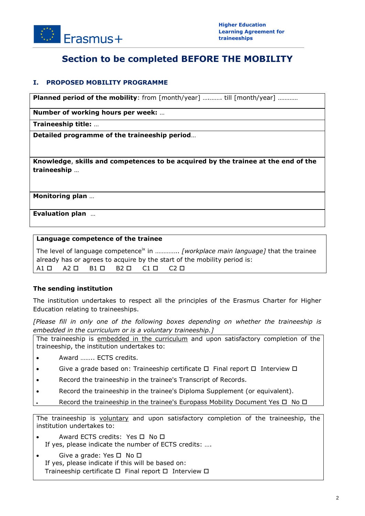

## **Section to be completed BEFORE THE MOBILITY**

#### **I. PROPOSED MOBILITY PROGRAMME**

**Planned period of the mobility**: from  $\lceil \text{month}/\text{year} \rceil$  ............ till  $\lceil \text{month}/\text{year} \rceil$  ............

**Number of working hours per week:** …

**Traineeship title:** …

**Detailed programme of the traineeship period**…

**Knowledge**, **skills and competences to be acquired by the trainee at the end of the traineeship** …

**Monitoring plan** …

**Evaluation plan** …

#### **Language competence of the trainee**

The level of language competence<sup>ix</sup> in .............. *[workplace main language]* that the trainee already has or agrees to acquire by the start of the mobility period is:  $A1 \Box$   $A2 \Box$   $B1 \Box$   $B2 \Box$   $C1 \Box$   $C2 \Box$ 

#### **The sending institution**

The institution undertakes to respect all the principles of the Erasmus Charter for Higher Education relating to traineeships.

*[Please fill in only one of the following boxes depending on whether the traineeship is embedded in the curriculum or is a voluntary traineeship.]*

The traineeship is embedded in the curriculum and upon satisfactory completion of the traineeship, the institution undertakes to:

- Award …….. ECTS credits.
- Give a grade based on: Traineeship certificate  $\Box$  Final report  $\Box$  Interview  $\Box$
- Record the traineeship in the trainee's Transcript of Records.
- Record the traineeship in the trainee's Diploma Supplement (or equivalent).
	- Record the traineeship in the trainee's Europass Mobility Document Yes  $\Box$  No  $\Box$

The traineeship is voluntary and upon satisfactory completion of the traineeship, the institution undertakes to:

- Award ECTS credits: Yes □ No □ If yes, please indicate the number of ECTS credits: ….
- Give a grade: Yes  $\square$  No  $\square$ If yes, please indicate if this will be based on: Traineeship certificate  $\Box$  Final report  $\Box$  Interview  $\Box$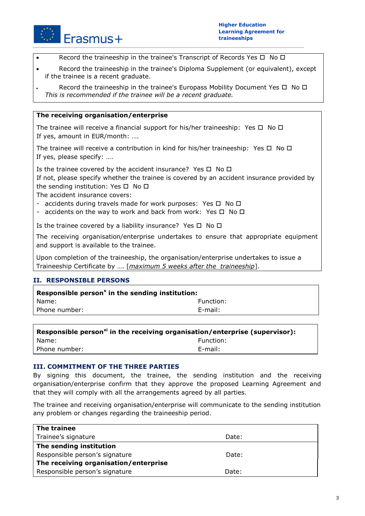

- Record the traineeship in the trainee's Transcript of Records Yes  $\Box$  No  $\Box$
- Record the traineeship in the trainee's Diploma Supplement (or equivalent), except if the trainee is a recent graduate.
- Record the traineeship in the trainee's Europass Mobility Document Yes  $\Box$  No  $\Box$ *This is recommended if the trainee will be a recent graduate.*

#### **The receiving organisation/enterprise**

The trainee will receive a financial support for his/her traineeship: Yes  $\Box$  No  $\Box$ If yes, amount in EUR/month: ….

The trainee will receive a contribution in kind for his/her traineeship: Yes  $\Box$  No  $\Box$ If yes, please specify: ….

Is the trainee covered by the accident insurance? Yes  $\Box$  No  $\Box$ If not, please specify whether the trainee is covered by an accident insurance provided by the sending institution: Yes  $\Box$  No  $\Box$ 

The accident insurance covers:

- accidents during travels made for work purposes: Yes  $\Box$  No  $\Box$
- accidents on the way to work and back from work: Yes  $\Box$  No  $\Box$

Is the trainee covered by a liability insurance? Yes  $\Box$  No  $\Box$ 

The receiving organisation/enterprise undertakes to ensure that appropriate equipment and support is available to the trainee.

Upon completion of the traineeship, the organisation/enterprise undertakes to issue a Traineeship Certificate by …. [*maximum 5 weeks after the traineeship*].

#### **II. RESPONSIBLE PERSONS**

| Responsible person <sup>x</sup> in the sending institution: |           |  |  |
|-------------------------------------------------------------|-----------|--|--|
| Name:                                                       | Function: |  |  |
| Phone number:                                               | E-mail:   |  |  |
|                                                             |           |  |  |

| Responsible person <sup>xi</sup> in the receiving organisation/enterprise (supervisor): |
|-----------------------------------------------------------------------------------------|
|                                                                                         |
|                                                                                         |
|                                                                                         |

#### **III. COMMITMENT OF THE THREE PARTIES**

By signing this document, the trainee, the sending institution and the receiving organisation/enterprise confirm that they approve the proposed Learning Agreement and that they will comply with all the arrangements agreed by all parties.

The trainee and receiving organisation/enterprise will communicate to the sending institution any problem or changes regarding the traineeship period.

| The trainee                           |       |
|---------------------------------------|-------|
| Trainee's signature                   | Date: |
| The sending institution               |       |
| Responsible person's signature        | Date: |
| The receiving organisation/enterprise |       |
| Responsible person's signature        | Date: |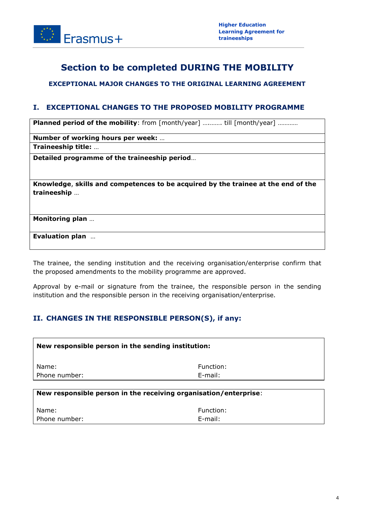

## **Section to be completed DURING THE MOBILITY**

#### **EXCEPTIONAL MAJOR CHANGES TO THE ORIGINAL LEARNING AGREEMENT**

#### **I. EXCEPTIONAL CHANGES TO THE PROPOSED MOBILITY PROGRAMME**

**Planned period of the mobility**: from  $\lceil \text{month}/\text{year} \rceil$  ............ till  $\lceil \text{month}/\text{year} \rceil$  ............

**Number of working hours per week:** …

**Traineeship title:** …

**Detailed programme of the traineeship period**…

**Knowledge**, **skills and competences to be acquired by the trainee at the end of the traineeship** …

**Monitoring plan** …

**Evaluation plan** …

The trainee, the sending institution and the receiving organisation/enterprise confirm that the proposed amendments to the mobility programme are approved.

Approval by e-mail or signature from the trainee, the responsible person in the sending institution and the responsible person in the receiving organisation/enterprise.

#### **II. CHANGES IN THE RESPONSIBLE PERSON(S), if any:**

| New responsible person in the sending institution: |                                                                  |  |
|----------------------------------------------------|------------------------------------------------------------------|--|
| Name:                                              | Function:                                                        |  |
| Phone number:                                      | $E$ -mail:                                                       |  |
|                                                    | New responsible person in the receiving organisation/enterprise: |  |
| Name:<br>Phone number:                             | Function:<br>E-mail:                                             |  |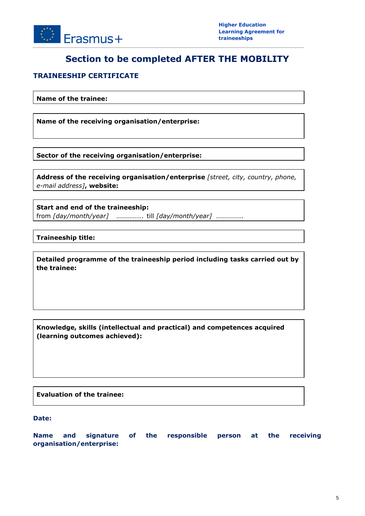

## **Section to be completed AFTER THE MOBILITY**

#### **TRAINEESHIP CERTIFICATE**

**Name of the trainee:**

**Name of the receiving organisation/enterprise:**

**Sector of the receiving organisation/enterprise:**

**Address of the receiving organisation/enterprise** *[street, city, country, phone, e-mail address]***, website:**

**Start and end of the traineeship:** from *[day/month/year]* ……………. till *[day/month/year]* …………….

**Traineeship title:**

**Detailed programme of the traineeship period including tasks carried out by the trainee:**

**Knowledge, skills (intellectual and practical) and competences acquired (learning outcomes achieved):**

**Evaluation of the trainee:**

**Date:**

**Name and signature of the responsible person at the receiving organisation/enterprise:**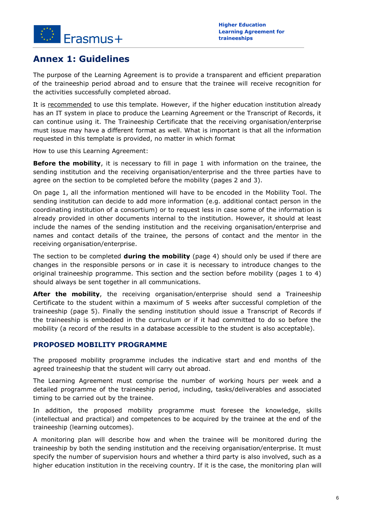

### **Annex 1: Guidelines**

The purpose of the Learning Agreement is to provide a transparent and efficient preparation of the traineeship period abroad and to ensure that the trainee will receive recognition for the activities successfully completed abroad.

It is recommended to use this template. However, if the higher education institution already has an IT system in place to produce the Learning Agreement or the Transcript of Records, it can continue using it. The Traineeship Certificate that the receiving organisation/enterprise must issue may have a different format as well. What is important is that all the information requested in this template is provided, no matter in which format

How to use this Learning Agreement:

**Before the mobility**, it is necessary to fill in page 1 with information on the trainee, the sending institution and the receiving organisation/enterprise and the three parties have to agree on the section to be completed before the mobility (pages 2 and 3).

On page 1, all the information mentioned will have to be encoded in the Mobility Tool. The sending institution can decide to add more information (e.g. additional contact person in the coordinating institution of a consortium) or to request less in case some of the information is already provided in other documents internal to the institution. However, it should at least include the names of the sending institution and the receiving organisation/enterprise and names and contact details of the trainee, the persons of contact and the mentor in the receiving organisation/enterprise.

The section to be completed **during the mobility** (page 4) should only be used if there are changes in the responsible persons or in case it is necessary to introduce changes to the original traineeship programme. This section and the section before mobility (pages 1 to 4) should always be sent together in all communications.

After the mobility, the receiving organisation/enterprise should send a Traineeship Certificate to the student within a maximum of 5 weeks after successful completion of the traineeship (page 5). Finally the sending institution should issue a Transcript of Records if the traineeship is embedded in the curriculum or if it had committed to do so before the mobility (a record of the results in a database accessible to the student is also acceptable).

#### **PROPOSED MOBILITY PROGRAMME**

The proposed mobility programme includes the indicative start and end months of the agreed traineeship that the student will carry out abroad.

The Learning Agreement must comprise the number of working hours per week and a detailed programme of the traineeship period, including, tasks/deliverables and associated timing to be carried out by the trainee.

In addition, the proposed mobility programme must foresee the knowledge, skills (intellectual and practical) and competences to be acquired by the trainee at the end of the traineeship (learning outcomes).

A monitoring plan will describe how and when the trainee will be monitored during the traineeship by both the sending institution and the receiving organisation/enterprise. It must specify the number of supervision hours and whether a third party is also involved, such as a higher education institution in the receiving country. If it is the case, the monitoring plan will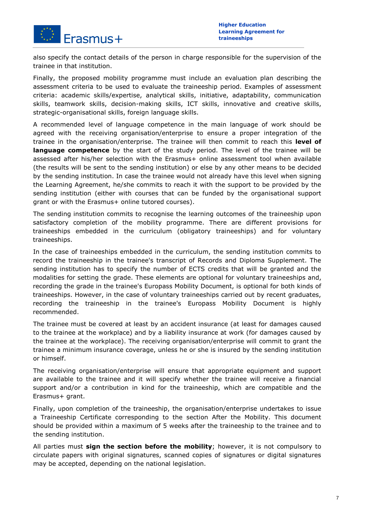

also specify the contact details of the person in charge responsible for the supervision of the trainee in that institution.

Finally, the proposed mobility programme must include an evaluation plan describing the assessment criteria to be used to evaluate the traineeship period. Examples of assessment criteria: academic skills/expertise, analytical skills, initiative, adaptability, communication skills, teamwork skills, decision-making skills, ICT skills, innovative and creative skills, strategic-organisational skills, foreign language skills.

A recommended level of language competence in the main language of work should be agreed with the receiving organisation/enterprise to ensure a proper integration of the trainee in the organisation/enterprise. The trainee will then commit to reach this **level of language competence** by the start of the study period. The level of the trainee will be assessed after his/her selection with the Erasmus+ online assessment tool when available (the results will be sent to the sending institution) or else by any other means to be decided by the sending institution. In case the trainee would not already have this level when signing the Learning Agreement, he/she commits to reach it with the support to be provided by the sending institution (either with courses that can be funded by the organisational support grant or with the Erasmus+ online tutored courses).

The sending institution commits to recognise the learning outcomes of the traineeship upon satisfactory completion of the mobility programme. There are different provisions for traineeships embedded in the curriculum (obligatory traineeships) and for voluntary traineeships.

In the case of traineeships embedded in the curriculum, the sending institution commits to record the traineeship in the trainee's transcript of Records and Diploma Supplement. The sending institution has to specify the number of ECTS credits that will be granted and the modalities for setting the grade. These elements are optional for voluntary traineeships and, recording the grade in the trainee's Europass Mobility Document, is optional for both kinds of traineeships. However, in the case of voluntary traineeships carried out by recent graduates, recording the traineeship in the trainee's Europass Mobility Document is highly recommended.

The trainee must be covered at least by an accident insurance (at least for damages caused to the trainee at the workplace) and by a liability insurance at work (for damages caused by the trainee at the workplace). The receiving organisation/enterprise will commit to grant the trainee a minimum insurance coverage, unless he or she is insured by the sending institution or himself.

The receiving organisation/enterprise will ensure that appropriate equipment and support are available to the trainee and it will specify whether the trainee will receive a financial support and/or a contribution in kind for the traineeship, which are compatible and the Erasmus+ grant.

Finally, upon completion of the traineeship, the organisation/enterprise undertakes to issue a Traineeship Certificate corresponding to the section After the Mobility. This document should be provided within a maximum of 5 weeks after the traineeship to the trainee and to the sending institution.

All parties must **sign the section before the mobility**; however, it is not compulsory to circulate papers with original signatures, scanned copies of signatures or digital signatures may be accepted, depending on the national legislation.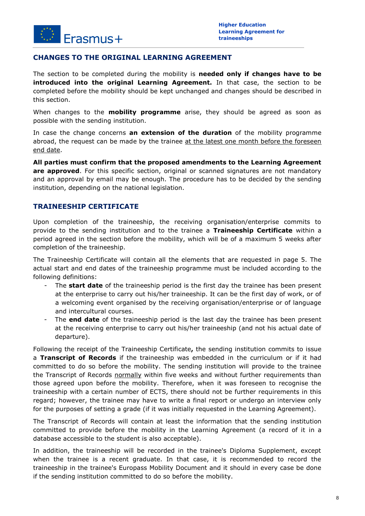

#### **CHANGES TO THE ORIGINAL LEARNING AGREEMENT**

The section to be completed during the mobility is **needed only if changes have to be introduced into the original Learning Agreement.** In that case, the section to be completed before the mobility should be kept unchanged and changes should be described in this section.

When changes to the **mobility programme** arise, they should be agreed as soon as possible with the sending institution.

In case the change concerns **an extension of the duration** of the mobility programme abroad, the request can be made by the trainee at the latest one month before the foreseen end date.

**All parties must confirm that the proposed amendments to the Learning Agreement**  are approved. For this specific section, original or scanned signatures are not mandatory and an approval by email may be enough. The procedure has to be decided by the sending institution, depending on the national legislation.

#### **TRAINEESHIP CERTIFICATE**

Upon completion of the traineeship, the receiving organisation/enterprise commits to provide to the sending institution and to the trainee a **Traineeship Certificate** within a period agreed in the section before the mobility, which will be of a maximum 5 weeks after completion of the traineeship.

The Traineeship Certificate will contain all the elements that are requested in page 5. The actual start and end dates of the traineeship programme must be included according to the following definitions:

- The **start date** of the traineeship period is the first day the trainee has been present at the enterprise to carry out his/her traineeship. It can be the first day of work, or of a welcoming event organised by the receiving organisation/enterprise or of language and intercultural courses.
- The **end date** of the traineeship period is the last day the trainee has been present at the receiving enterprise to carry out his/her traineeship (and not his actual date of departure).

Following the receipt of the Traineeship Certificate**,** the sending institution commits to issue a **Transcript of Records** if the traineeship was embedded in the curriculum or if it had committed to do so before the mobility. The sending institution will provide to the trainee the Transcript of Records normally within five weeks and without further requirements than those agreed upon before the mobility. Therefore, when it was foreseen to recognise the traineeship with a certain number of ECTS, there should not be further requirements in this regard; however, the trainee may have to write a final report or undergo an interview only for the purposes of setting a grade (if it was initially requested in the Learning Agreement).

The Transcript of Records will contain at least the information that the sending institution committed to provide before the mobility in the Learning Agreement (a record of it in a database accessible to the student is also acceptable).

In addition, the traineeship will be recorded in the trainee's Diploma Supplement, except when the trainee is a recent graduate. In that case, it is recommended to record the traineeship in the trainee's Europass Mobility Document and it should in every case be done if the sending institution committed to do so before the mobility.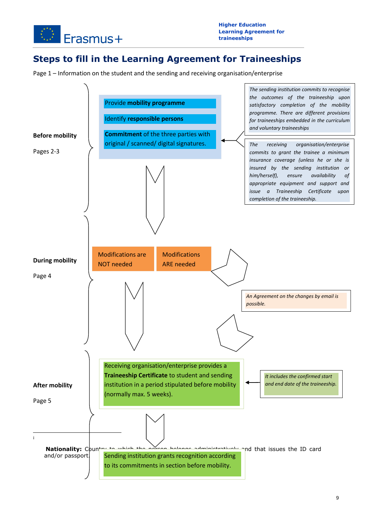

## **Steps to fill in the Learning Agreement for Traineeships**

Page 1 – Information on the student and the sending and receiving organisation/enterprise

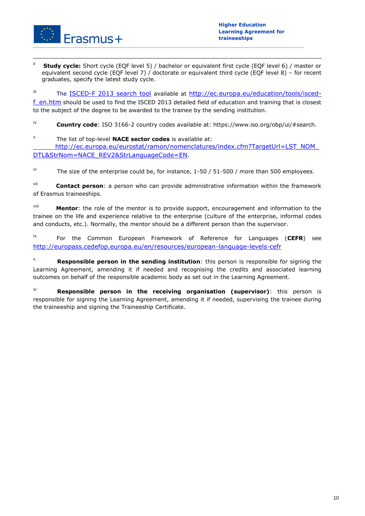

 $\overline{\phantom{a}}$ 

**Study cycle:** Short cycle (EQF level 5) / bachelor or equivalent first cycle (EQF level 6) / master or equivalent second cycle (EQF level 7) / doctorate or equivalent third cycle (EQF level 8) – for recent graduates, specify the latest study cycle.

iii The [ISCED-F 2013 search tool](http://ec.europa.eu/education/tools/isced-f_en.htm) available at [http://ec.europa.eu/education/tools/isced-](http://ec.europa.eu/education/tools/isced-f_en.htm)

[f\\_en.htm](http://ec.europa.eu/education/tools/isced-f_en.htm) should be used to find the ISCED 2013 detailed field of education and training that is closest to the subject of the degree to be awarded to the trainee by the sending institution.

iv **Country code**: ISO 3166-2 country codes available at: https://www.iso.org/obp/ui/#search.

v The list of top-level **NACE sector codes** is available at: [http://ec.europa.eu/eurostat/ramon/nomenclatures/index.cfm?TargetUrl=LST\\_NOM\\_](http://ec.europa.eu/eurostat/ramon/nomenclatures/index.cfm?TargetUrl=LST_NOM_DTL&StrNom=NACE_REV2&StrLanguageCode=EN)

[DTL&StrNom=NACE\\_REV2&StrLanguageCode=EN](http://ec.europa.eu/eurostat/ramon/nomenclatures/index.cfm?TargetUrl=LST_NOM_DTL&StrNom=NACE_REV2&StrLanguageCode=EN).

 $\frac{v_i}{v}$  The size of the enterprise could be, for instance, 1-50 / 51-500 / more than 500 employees.

vii **Contact person**: a person who can provide administrative information within the framework of Erasmus traineeships.

viii **Mentor**: the role of the mentor is to provide support, encouragement and information to the trainee on the life and experience relative to the enterprise (culture of the enterprise, informal codes and conducts, etc.). Normally, the mentor should be a different person than the supervisor.

ix For the Common European Framework of Reference for Languages (**CEFR**) see <http://europass.cedefop.europa.eu/en/resources/european-language-levels-cefr>

<sup>x</sup> **Responsible person in the sending institution**: this person is responsible for signing the Learning Agreement, amending it if needed and recognising the credits and associated learning outcomes on behalf of the responsible academic body as set out in the Learning Agreement.

xi **Responsible person in the receiving organisation (supervisor)**: this person is responsible for signing the Learning Agreement, amending it if needed, supervising the trainee during the traineeship and signing the Traineeship Certificate.